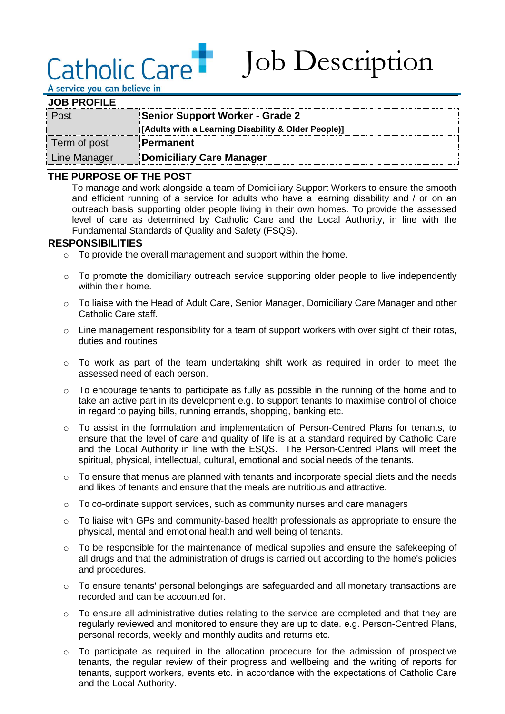# Catholic Care

Job Description

A service you can believe in

| <b>JOB PROFILE</b> |                                                     |
|--------------------|-----------------------------------------------------|
| Post               | <b>Senior Support Worker - Grade 2</b>              |
|                    | [Adults with a Learning Disability & Older People)] |
| Term of post       | Permanent                                           |
| Line Manager       | <b>Domiciliary Care Manager</b>                     |

#### **THE PURPOSE OF THE POST**

To manage and work alongside a team of Domiciliary Support Workers to ensure the smooth and efficient running of a service for adults who have a learning disability and / or on an outreach basis supporting older people living in their own homes. To provide the assessed level of care as determined by Catholic Care and the Local Authority, in line with the Fundamental Standards of Quality and Safety (FSQS).

#### **RESPONSIBILITIES**

- o To provide the overall management and support within the home.
- o To promote the domiciliary outreach service supporting older people to live independently within their home.
- o To liaise with the Head of Adult Care, Senior Manager, Domiciliary Care Manager and other Catholic Care staff.
- $\circ$  Line management responsibility for a team of support workers with over sight of their rotas, duties and routines
- o To work as part of the team undertaking shift work as required in order to meet the assessed need of each person.
- $\circ$  To encourage tenants to participate as fully as possible in the running of the home and to take an active part in its development e.g. to support tenants to maximise control of choice in regard to paying bills, running errands, shopping, banking etc.
- $\circ$  To assist in the formulation and implementation of Person-Centred Plans for tenants, to ensure that the level of care and quality of life is at a standard required by Catholic Care and the Local Authority in line with the ESQS. The Person-Centred Plans will meet the spiritual, physical, intellectual, cultural, emotional and social needs of the tenants.
- o To ensure that menus are planned with tenants and incorporate special diets and the needs and likes of tenants and ensure that the meals are nutritious and attractive.
- $\circ$  To co-ordinate support services, such as community nurses and care managers
- $\circ$  To liaise with GPs and community-based health professionals as appropriate to ensure the physical, mental and emotional health and well being of tenants.
- o To be responsible for the maintenance of medical supplies and ensure the safekeeping of all drugs and that the administration of drugs is carried out according to the home's policies and procedures.
- o To ensure tenants' personal belongings are safeguarded and all monetary transactions are recorded and can be accounted for.
- $\circ$  To ensure all administrative duties relating to the service are completed and that they are regularly reviewed and monitored to ensure they are up to date. e.g. Person-Centred Plans, personal records, weekly and monthly audits and returns etc.
- o To participate as required in the allocation procedure for the admission of prospective tenants, the regular review of their progress and wellbeing and the writing of reports for tenants, support workers, events etc. in accordance with the expectations of Catholic Care and the Local Authority.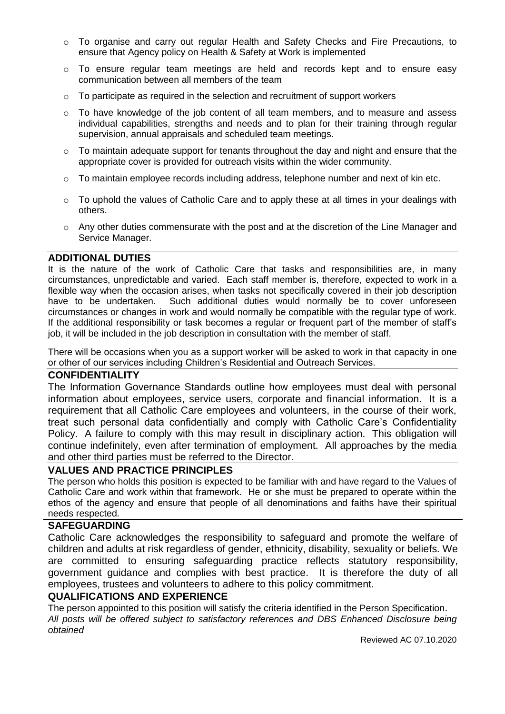- o To organise and carry out regular Health and Safety Checks and Fire Precautions, to ensure that Agency policy on Health & Safety at Work is implemented
- o To ensure regular team meetings are held and records kept and to ensure easy communication between all members of the team
- o To participate as required in the selection and recruitment of support workers
- $\circ$  To have knowledge of the job content of all team members, and to measure and assess individual capabilities, strengths and needs and to plan for their training through regular supervision, annual appraisals and scheduled team meetings.
- o To maintain adequate support for tenants throughout the day and night and ensure that the appropriate cover is provided for outreach visits within the wider community.
- $\circ$  To maintain employee records including address, telephone number and next of kin etc.
- $\circ$  To uphold the values of Catholic Care and to apply these at all times in your dealings with others.
- o Any other duties commensurate with the post and at the discretion of the Line Manager and Service Manager.

#### **ADDITIONAL DUTIES**

It is the nature of the work of Catholic Care that tasks and responsibilities are, in many circumstances, unpredictable and varied. Each staff member is, therefore, expected to work in a flexible way when the occasion arises, when tasks not specifically covered in their job description have to be undertaken. Such additional duties would normally be to cover unforeseen circumstances or changes in work and would normally be compatible with the regular type of work. If the additional responsibility or task becomes a regular or frequent part of the member of staff's job, it will be included in the job description in consultation with the member of staff.

There will be occasions when you as a support worker will be asked to work in that capacity in one or other of our services including Children's Residential and Outreach Services.

#### **CONFIDENTIALITY**

The Information Governance Standards outline how employees must deal with personal information about employees, service users, corporate and financial information. It is a requirement that all Catholic Care employees and volunteers, in the course of their work, treat such personal data confidentially and comply with Catholic Care's Confidentiality Policy. A failure to comply with this may result in disciplinary action. This obligation will continue indefinitely, even after termination of employment. All approaches by the media and other third parties must be referred to the Director.

#### **VALUES AND PRACTICE PRINCIPLES**

The person who holds this position is expected to be familiar with and have regard to the Values of Catholic Care and work within that framework. He or she must be prepared to operate within the ethos of the agency and ensure that people of all denominations and faiths have their spiritual needs respected.

#### **SAFEGUARDING**

Catholic Care acknowledges the responsibility to safeguard and promote the welfare of children and adults at risk regardless of gender, ethnicity, disability, sexuality or beliefs. We are committed to ensuring safeguarding practice reflects statutory responsibility, government guidance and complies with best practice. It is therefore the duty of all employees, trustees and volunteers to adhere to this policy commitment.

#### **QUALIFICATIONS AND EXPERIENCE**

The person appointed to this position will satisfy the criteria identified in the Person Specification. *All posts will be offered subject to satisfactory references and DBS Enhanced Disclosure being obtained*